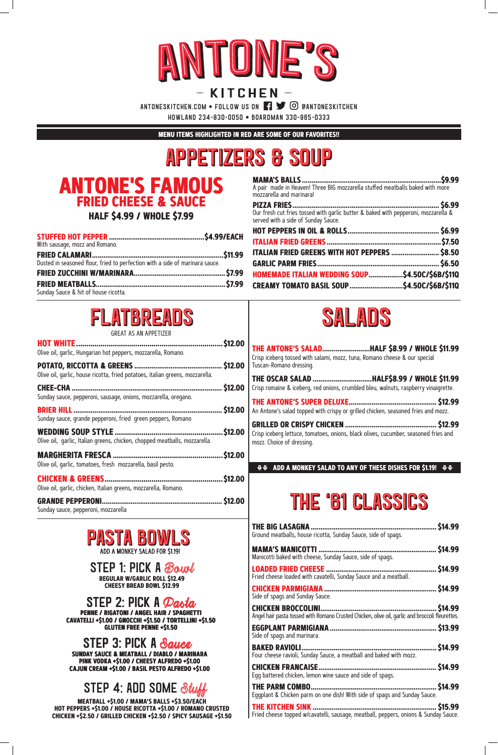

## KITCHEN-

ANTONESKITCHEN.COM • FOLLOW US ON  $\Box$   $\Box$   $\odot$  eantoneskitchen

howland 234-830-0050 • boardman 330-965-0333

STEP 1: PICK A Bowl **REGULAR W/GARLIC ROLL \$12.49 CHEESY BREAD BOWL \$12.99**

#### STEP 2: PICK A Pasta **PENNE / RIGATONI / ANGEL HAIR / SPAGHETTI CAVATELLI +\$1.00 / GNOCCHI +\$1.50 / TORTELLINI +\$1.50 GLUTEN FREE PENNE +\$1.50**

#### STEP 3: PICK A Sauce **SUNDAY SAUCE & MEATBALL / DIABLO / MARINARA PINK VODKA +\$1.00 / CHEESY ALFREDO +\$1.00 CAJUN CREAM +\$1.00 / BASIL PESTO ALFREDO +\$1.00**

### STEP 4: ADD SOME Stuff

**MEATBALL +\$1.00 / MAMA'S BALLS +\$3.50/EACH HOT PEPPERS +\$1.00 / HOUSE RICOTTA +\$1.00 / ROMANO CRUSTED CHICKEN +\$2.50 / GRILLED CHICKEN +\$2.50 / SPICY SAUSAGE +\$1.50**

**THE BIG LASAGNA.................................................................. \$14.99** Ground meatballs, house ricotta, Sunday Sauce, side of spags.

| Manicotti baked with cheese, Sunday Sauce, side of spags.                                       | . \$14.99 |
|-------------------------------------------------------------------------------------------------|-----------|
| Fried cheese loaded with cavatelli, Sunday Sauce and a meatball.                                |           |
| Side of spags and Sunday Sauce.                                                                 |           |
| Angel hair pasta tossed with Romano Crusted Chicken, olive oil, garlic and broccoli fleurettes. | . \$14.99 |
| Side of spags and marinara.                                                                     |           |
| Four cheese ravioli, Sunday Sauce, a meatball and baked with mozz.                              | . \$14.99 |
| Egg battered chicken, lemon wine sauce and side of spags.                                       |           |
| Eggplant & Chicken parm on one dish! With side of spags and Sunday Sauce.                       | \$14.99   |
| Fried cheese topped w/cavatelli, sausage, meatball, peppers, onions & Sunday Sauce.             |           |

## **ANTONE'S FAMOUS FRIED CHEESE & SAUCE**

**HALF \$4.99 / WHOLE \$7.99**

| With sausage, mozz and Romano.                                               |  |
|------------------------------------------------------------------------------|--|
| Dusted in seasoned flour, fried to perfection with a side of marinara sauce. |  |
|                                                                              |  |
|                                                                              |  |
| Sunday Sauce & hit of house ricotta.                                         |  |

**MAMA'S BALLS .........................................................................\$9.99**



| A pair  made in Heaven! Three BIG mozzarella stuffed meatballs baked with more<br>mozzarella and marinara!                |  |
|---------------------------------------------------------------------------------------------------------------------------|--|
| Our fresh cut fries tossed with garlic butter & baked with pepperoni, mozzarella &<br>served with a side of Sunday Sauce. |  |
|                                                                                                                           |  |
| ITALIAN FRIED GREENS WITH HOT PEPPERS  \$8.50                                                                             |  |
| HOMEMADE ITALIAN WEDDING SOUP\$4.50C/\$6B/\$11Q                                                                           |  |
| CREAMY TOMATO BASIL SOUP\$4.50C/\$6B/\$11Q                                                                                |  |

| THE ANTONE'S SALADHALF \$8.99 / WHOLE \$11.99<br>Crisp iceberg tossed with salami, mozz, tuna, Romano cheese & our special<br>Tuscan-Romano dressing. |
|-------------------------------------------------------------------------------------------------------------------------------------------------------|
| THE OSCAR SALAD HALF\$8.99 / WHOLE \$11.99<br>Crisp romaine & iceberg, red onions, crumbled bleu, walnuts, raspberry vinaigrette.                     |
| An Antone's salad topped with crispy or grilled chicken, seasoned fries and mozz.                                                                     |
| Crisp iceberg lettuce, tomatoes, onions, black olives, cucumber, seasoned fries and<br>mozz. Choice of dressing.                                      |
| <b>VV</b> ADD A MONKEY SALAD TO ANY OF THESE DISHES FOR \$1.19! VV                                                                                    |

## THE '61 CLASSICS

**MENU ITEMS HIGHLIGHTED IN RED ARE SOME OF OUR FAVORITES!!**



| UNLAI AJ AN AI I LIILLIN                                                      |                |
|-------------------------------------------------------------------------------|----------------|
| Olive oil, garlic, Hungarian hot peppers, mozzarella, Romano.                 | \$12.00        |
| Olive oil, garlic, house ricotta, fried potatoes, italian greens, mozzarella. | \$12.00        |
| Sunday sauce, pepperoni, sausage, onions, mozzarella, oregano.                | \$12.00        |
| Sunday sauce, grande pepperoni, fried green peppers, Romano                   | \$12.00        |
| Olive oil, garlic, Italian greens, chicken, chopped meatballs, mozzarella.    | \$12.00        |
| Olive oil, garlic, tomatoes, fresh mozzarella, basil pesto.                   | \$12.00        |
| Olive oil, garlic, chicken, Italian greens, mozzarella, Romano.               | \$12.00        |
| Sunday sauce, pepperoni, mozzarella                                           | <b>\$12.00</b> |





## appetizers & soup appetizers & Soup